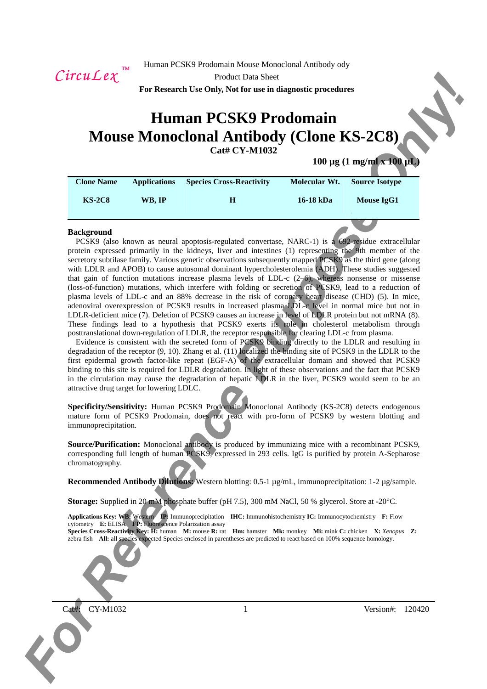

Product Data Sheet

**For Research Use Only, Not for use in diagnostic procedures** 

# **Human PCSK9 Prodomain Mouse Monoclonal Antibody (Clone KS-2C8)**

**Cat# CY-M1032**

# **100 µg (1 mg/ml x 100 µL)**

| <b>Clone Name</b> | <b>Applications</b> | <b>Species Cross-Reactivity</b> | Molecular Wt. | <b>Source Isotype</b> |
|-------------------|---------------------|---------------------------------|---------------|-----------------------|
| <b>KS-2C8</b>     | WB. IP              | Н                               | 16-18 kDa     | Mouse IgG1            |

## **Background**

*For Ref. 2. For Research 1980 by Deck CNR Company and ADD 1980 company and ADD 1980 company and ADD 1980 company and ADD 1980 company and ADD 1980 company and ADD 1980 company and ADD 1980 company and ADD 1980 company an* PCSK9 (also known as neural apoptosis-regulated convertase, NARC-1) is a 692-residue extracellular protein expressed primarily in the kidneys, liver and intestines (1) representing the 9th member of the secretory subtilase family. Various genetic observations subsequently mapped PCSK9 as the third gene (along with LDLR and APOB) to cause autosomal dominant hypercholesterolemia (ADH). These studies suggested that gain of function mutations increase plasma levels of LDL-c  $(2-6)$ , whereas nonsense or missense (loss-of-function) mutations, which interfere with folding or secretion of PCSK9, lead to a reduction of plasma levels of LDL-c and an 88% decrease in the risk of coronary heart disease (CHD) (5). In mice, adenoviral overexpression of PCSK9 results in increased plasma LDL-c level in normal mice but not in LDLR-deficient mice (7). Deletion of PCSK9 causes an increase in level of LDLR protein but not mRNA (8). These findings lead to a hypothesis that PCSK9 exerts its role in cholesterol metabolism through posttranslational down-regulation of LDLR, the receptor responsible for clearing LDL-c from plasma.

Evidence is consistent with the secreted form of PCSK9 binding directly to the LDLR and resulting in degradation of the receptor (9, 10). Zhang et al. (11) localized the binding site of PCSK9 in the LDLR to the first epidermal growth factor-like repeat (EGF-A) of the extracellular domain and showed that PCSK9 binding to this site is required for LDLR degradation. In light of these observations and the fact that PCSK9 in the circulation may cause the degradation of hepatic LDLR in the liver, PCSK9 would seem to be an attractive drug target for lowering LDLC.

**Specificity/Sensitivity:** Human PCSK9 Prodomain Monoclonal Antibody (KS-2C8) detects endogenous mature form of PCSK9 Prodomain, does not react with pro-form of PCSK9 by western blotting and immunoprecipitation.

**Source/Purification:** Monoclonal antibody is produced by immunizing mice with a recombinant PCSK9, corresponding full length of human PCSK9, expressed in 293 cells. IgG is purified by protein A-Sepharose chromatography.

**Recommended Antibody Dilutions:** Western blotting: 0.5-1 µg/mL, immunoprecipitation: 1-2 µg/sample.

**Storage:** Supplied in 20 mM phosphate buffer (pH 7.5), 300 mM NaCl, 50 % glycerol. Store at -20°C.

**Applications Key: WB: Western <b>IP:** Immunoprecipitation **IHC:** Immunohistochemistry **IC:** Immunocytochemistry **F:** Flow cytometry **E:** ELISA **FP:** Fluorescence Polarization assay

**Species Cross-Reactivity Key: H:** human **M:** mouse **R:** rat **Hm:** hamster **Mk:** monkey **Mi:** mink **C:** chicken **X:** *Xenopus* **Z:**  zebra fish **All:** all species expected Species enclosed in parentheses are predicted to react based on 100% sequence homology.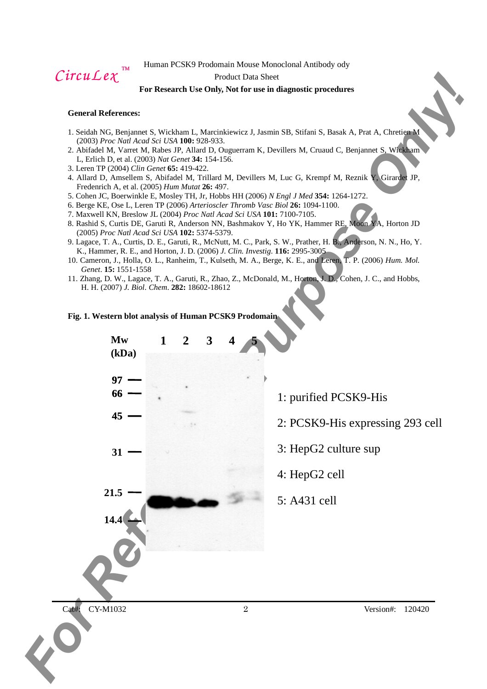$CircuLex$ <sup>™</sup>

## Product Data Sheet

## **For Research Use Only, Not for use in diagnostic procedures**

## **General References:**

- 1. Seidah NG, Benjannet S, Wickham L, Marcinkiewicz J, Jasmin SB, Stifani S, Basak A, Prat A, Chretien M (2003) *Proc Natl Acad Sci USA* **100:** 928-933.
- 2. Abifadel M, Varret M, Rabes JP, Allard D, Ouguerram K, Devillers M, Cruaud C, Benjannet S, Wickham L, Erlich D, et al. (2003) *Nat Genet* **34:** 154-156.
- 3. Leren TP (2004) *Clin Genet* **65:** 419-422.
- 4. Allard D, Amsellem S, Abifadel M, Trillard M, Devillers M, Luc G, Krempf M, Reznik Y, Girardet JP, Fredenrich A, et al. (2005) *Hum Mutat* **26:** 497.
- 5. Cohen JC, Boerwinkle E, Mosley TH, Jr, Hobbs HH (2006) *N Engl J Med* **354:** 1264-1272.
- 6. Berge KE, Ose L, Leren TP (2006) *Arterioscler Thromb Vasc Biol* **26:** 1094-1100.
- 7. Maxwell KN, Breslow JL (2004) *Proc Natl Acad Sci USA* **101:** 7100-7105.
- 8. Rashid S, Curtis DE, Garuti R, Anderson NN, Bashmakov Y, Ho YK, Hammer RE, Moon YA, Horton JD (2005) *Proc Natl Acad Sci USA* **102:** 5374-5379.
- 9. Lagace, T. A., Curtis, D. E., Garuti, R., McNutt, M. C., Park, S. W., Prather, H. B., Anderson, N. N., Ho, Y. K., Hammer, R. E., and Horton, J. D. (2006) *J. Clin. Investig*. **116:** 2995-3005
- 10. Cameron, J., Holla, O. L., Ranheim, T., Kulseth, M. A., Berge, K. E., and Leren, T. P. (2006) *Hum. Mol. Genet*. **15:** 1551-1558
- 11. Zhang, D. W., Lagace, T. A., Garuti, R., Zhao, Z., McDonald, M., Horton, J. D., Cohen, J. C., and Hobbs, H. H. (2007) *J. Biol. Chem*. **282:** 18602-18612

## **Fig. 1. Western blot analysis of Human PCSK9 Prodomain**

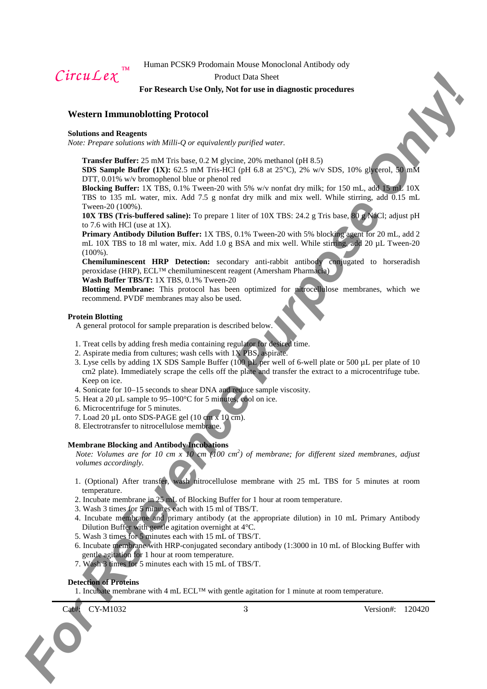*CircuLex* 

# Product Data Sheet **For Research Use Only, Not for use in diagnostic procedures**

# **Western Immunoblotting Protocol**

#### **Solutions and Reagents**

*Note: Prepare solutions with Milli-Q or equivalently purified water.* 

**Transfer Buffer:** 25 mM Tris base, 0.2 M glycine, 20% methanol (pH 8.5)

**SDS Sample Buffer (1X):** 62.5 mM Tris-HCl (pH 6.8 at 25°C), 2% w/v SDS, 10% glycerol, 50 mM DTT, 0.01% w/v bromophenol blue or phenol red

**Blocking Buffer:** 1X TBS, 0.1% Tween-20 with 5% w/v nonfat dry milk; for 150 mL, add 15 mL 10X TBS to 135 mL water, mix. Add 7.5 g nonfat dry milk and mix well. While stirring, add 0.15 mL Tween-20 (100%).

**10X TBS (Tris-buffered saline):** To prepare 1 liter of 10X TBS: 24.2 g Tris base, 80 g NaCl; adjust pH to 7.6 with HCl (use at 1X).

C. FITCH L. L. e. F. F. External the context interaction of the state of the state of the state of the state of the state of the state of the state of the state of the state of the state of the state of the state of the s **Primary Antibody Dilution Buffer:** 1X TBS, 0.1% Tween-20 with 5% blocking agent for 20 mL, add 2 mL 10X TBS to 18 ml water, mix. Add 1.0 g BSA and mix well. While stirring, add 20 µL Tween-20 (100%).

**Chemiluminescent HRP Detection:** secondary anti-rabbit antibody conjugated to horseradish peroxidase (HRP), ECL™ chemiluminescent reagent (Amersham Pharmacia) **Wash Buffer TBS/T:** 1X TBS, 0.1% Tween-20

**Blotting Membrane:** This protocol has been optimized for nitrocellulose membranes, which we recommend. PVDF membranes may also be used.

### **Protein Blotting**

A general protocol for sample preparation is described below.

- 1. Treat cells by adding fresh media containing regulator for desired time.
- 2. Aspirate media from cultures; wash cells with 1X PBS, aspirate.
- 3. Lyse cells by adding 1X SDS Sample Buffer (100 µL per well of 6-well plate or 500 µL per plate of 10 cm2 plate). Immediately scrape the cells off the plate and transfer the extract to a microcentrifuge tube. Keep on ice.
- 4. Sonicate for 10–15 seconds to shear DNA and reduce sample viscosity.
- 5. Heat a 20  $\mu$ L sample to 95–100 $\degree$ C for 5 minutes, cool on ice.
- 6. Microcentrifuge for 5 minutes.
- 7. Load 20 µL onto SDS-PAGE gel (10 cm x 10 cm).
- 8. Electrotransfer to nitrocellulose membrane.

# **Membrane Blocking and Antibody Incubations**

*Note: Volumes are for 10 cm x 10 cm (100 cm<sup>2</sup> ) of membrane; for different sized membranes, adjust volumes accordingly.* 

- 1. (Optional) After transfer, wash nitrocellulose membrane with 25 mL TBS for 5 minutes at room temperature.
- 2. Incubate membrane in 25 mL of Blocking Buffer for 1 hour at room temperature.
- 3. Wash 3 times for 5 minutes each with 15 ml of TBS/T.
- 4. Incubate membrane and primary antibody (at the appropriate dilution) in 10 mL Primary Antibody Dilution Buffer with gentle agitation overnight at 4°C.
- 5. Wash 3 times for 5 minutes each with 15 mL of TBS/T.
- 6. Incubate membrane with HRP-conjugated secondary antibody (1:3000 in 10 mL of Blocking Buffer with gentle agitation for 1 hour at room temperature.
- 7. Wash 3 times for 5 minutes each with 15 mL of TBS/T.

# **Detection of Proteins**

1. Incubate membrane with 4 mL ECL<sup>™</sup> with gentle agitation for 1 minute at room temperature.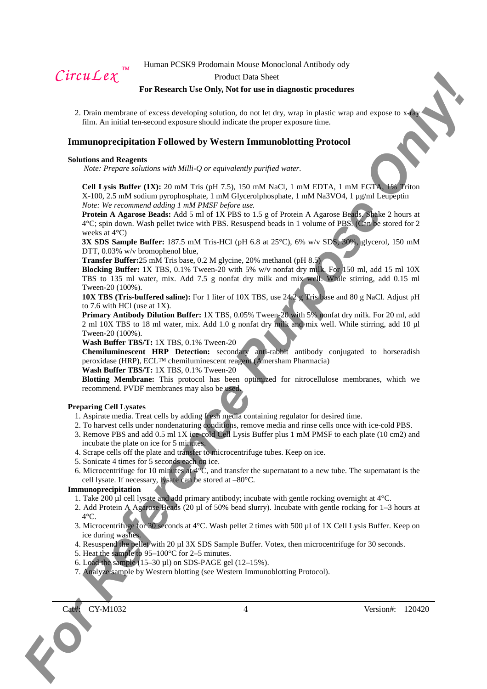$CircuLex$ <sup>TM</sup>

#### Product Data Sheet

## **For Research Use Only, Not for use in diagnostic procedures**

2. Drain membrane of excess developing solution, do not let dry, wrap in plastic wrap and expose to  $x$ film. An initial ten-second exposure should indicate the proper exposure time.

## **Immunoprecipitation Followed by Western Immunoblotting Protocol**

#### **Solutions and Reagents**

*Note: Prepare solutions with Milli-Q or equivalently purified water.* 

**Cell Lysis Buffer (1X):** 20 mM Tris (pH 7.5), 150 mM NaCl, 1 mM EDTA, 1 mM EGTA, 1% Triton X-100, 2.5 mM sodium pyrophosphate, 1 mM Glycerolphosphate, 1 mM Na3VO4, 1 µg/ml Leupeptin *Note: We recommend adding 1 mM PMSF before use.* 

*For Cale Lee C*<br>
For Research 1st chubs, Nat for such afforeseed procedures<br>
2. Equivalent of exception of the bookstate Schein (a) and the state of the state was also the state of the state of the state of the state of **Protein A Agarose Beads:** Add 5 ml of 1X PBS to 1.5 g of Protein A Agarose Beads. Shake 2 hours at 4°C; spin down. Wash pellet twice with PBS. Resuspend beads in 1 volume of PBS. (Can be stored for 2 weeks at 4°C)

**3X SDS Sample Buffer:** 187.5 mM Tris-HCl (pH 6.8 at 25°C), 6% w/v SDS, 30%, glycerol, 150 mM DTT, 0.03% w/v bromophenol blue.

**Transfer Buffer:**25 mM Tris base, 0.2 M glycine, 20% methanol (pH 8.5)

**Blocking Buffer:** 1X TBS, 0.1% Tween-20 with 5% w/v nonfat dry milk. For 150 ml, add 15 ml 10X TBS to 135 ml water, mix. Add 7.5 g nonfat dry milk and mix well. While stirring, add 0.15 ml Tween-20 (100%).

**10X TBS (Tris-buffered saline):** For 1 liter of 10X TBS, use 24.2 g Tris base and 80 g NaCl. Adjust pH to 7.6 with HCl (use at 1X).

**Primary Antibody Dilution Buffer:** 1X TBS, 0.05% Tween-20 with 5% nonfat dry milk. For 20 ml, add 2 ml 10X TBS to 18 ml water, mix. Add 1.0 g nonfat dry milk and mix well. While stirring, add 10 µl Tween-20 (100%).

**Wash Buffer TBS/T:** 1X TBS, 0.1% Tween-20

**Chemiluminescent HRP Detection:** secondary anti-rabbit antibody conjugated to horseradish peroxidase (HRP), ECL™ chemiluminescent reagent (Amersham Pharmacia)

# **Wash Buffer TBS/T:** 1X TBS, 0.1% Tween-20

**Blotting Membrane:** This protocol has been optimized for nitrocellulose membranes, which we recommend. PVDF membranes may also be used.

### **Preparing Cell Lysates**

- 1. Aspirate media. Treat cells by adding fresh media containing regulator for desired time.
- 2. To harvest cells under nondenaturing conditions, remove media and rinse cells once with ice-cold PBS.
- 3. Remove PBS and add 0.5 ml 1X ice-cold Cell Lysis Buffer plus 1 mM PMSF to each plate (10 cm2) and incubate the plate on ice for 5 minutes.
- 4. Scrape cells off the plate and transfer to microcentrifuge tubes. Keep on ice.
- 5. Sonicate 4 times for 5 seconds each on ice.
- 6. Microcentrifuge for 10 minutes at  $4^{\circ}$ C, and transfer the supernatant to a new tube. The supernatant is the cell lysate. If necessary, lysate can be stored at –80°C.

### **Immunoprecipitation**

- 1. Take 200 ul cell lysate and add primary antibody; incubate with gentle rocking overnight at  $4^{\circ}$ C.
- 2. Add Protein A Agarose Beads (20 µl of 50% bead slurry). Incubate with gentle rocking for 1–3 hours at  $4^{\circ}$ C.
- 3. Microcentrifuge for 30 seconds at 4°C. Wash pellet 2 times with 500 µl of 1X Cell Lysis Buffer. Keep on ice during washes.
- 4. Resuspend the pellet with 20 µl 3X SDS Sample Buffer. Votex, then microcentrifuge for 30 seconds.
- 5. Heat the sample to 95–100°C for 2–5 minutes.
- 6. Load the sample  $(15-30 \mu l)$  on SDS-PAGE gel  $(12-15\%)$ .
- 7. Analyze sample by Western blotting (see Western Immunoblotting Protocol).